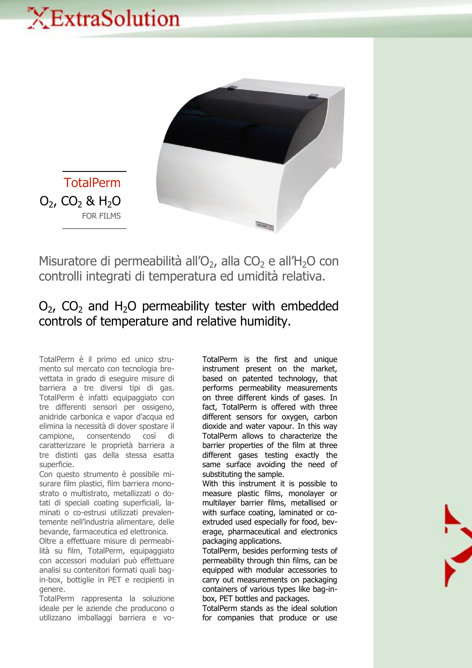## XExtraSolution



**TotalPerm**  $O_2$ , CO<sub>2</sub> & H<sub>2</sub>O FOR FILMS

Misuratore di permeabilità all'O<sub>2</sub>, alla CO<sub>2</sub> e all'H<sub>2</sub>O con controlli integrati di temperatura ed umidità relativa.

## $O<sub>2</sub>$ ,  $CO<sub>2</sub>$  and H<sub>2</sub>O permeability tester with embedded controls of temperature and relative humidity.

TotalPerm è il primo ed unico strumento sul mercato con tecnologia brevettata in grado di eseguire misure di barriera a tre diversi tipi di gas. TotalPerm è infatti equipaggiato con tre differenti sensori per ossigeno, anidride carbonica e vapor d'acqua ed elimina la necessità di dover spostare il campione, consentendo così di caratterizzare le proprietà barriera a tre distinti gas della stessa esatta superficie.

Con questo strumento è possibile misurare film plastici, film barriera monostrato o multistrato, metallizzati o dotati di speciali coating superficiali, laminati o co-estrusi utilizzati prevalentemente nell'industria alimentare, delle bevande, farmaceutica ed elettronica.

Oltre a effettuare misure di permeabilità su film, TotalPerm, equipaggiato con accessori modulari può effettuare analisi su contenitori formati quali bagin-box, bottiglie in PET e recipienti in genere.

TotalPerm rappresenta la soluzione ideale per le aziende che producono o utilizzano imballaggi barriera e vo-

TotalPerm is the first and unique instrument present on the market, based on patented technology, that performs permeability measurements on three different kinds of gases. In fact, TotalPerm is offered with three different sensors for oxygen, carbon dioxide and water vapour. In this way TotalPerm allows to characterize the barrier properties of the film at three different gases testing exactly the same surface avoiding the need of substituting the sample.

With this instrument it is possible to measure plastic films, monolayer or multilayer barrier films, metallised or with surface coating, laminated or coextruded used especially for food, beverage, pharmaceutical and electronics packaging applications.

TotalPerm, besides performing tests of permeability through thin films, can be equipped with modular accessories to carry out measurements on packaging containers of various types like bag-inbox, PET bottles and packages.

TotalPerm stands as the ideal solution for companies that produce or use